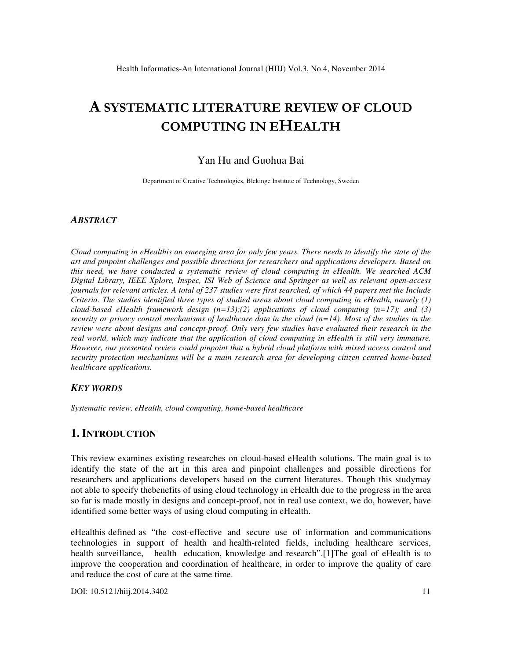# A SYSTEMATIC LITERATURE REVIEW OF CLOUD COMPUTING IN EHEALTH

### Yan Hu and Guohua Bai

Department of Creative Technologies, Blekinge Institute of Technology, Sweden

#### *ABSTRACT*

*Cloud computing in eHealthis an emerging area for only few years. There needs to identify the state of the art and pinpoint challenges and possible directions for researchers and applications developers. Based on this need, we have conducted a systematic review of cloud computing in eHealth. We searched ACM Digital Library, IEEE Xplore, Inspec, ISI Web of Science and Springer as well as relevant open-access journals for relevant articles. A total of 237 studies were first searched, of which 44 papers met the Include Criteria. The studies identified three types of studied areas about cloud computing in eHealth, namely (1) cloud-based eHealth framework design (n=13);(2) applications of cloud computing (n=17); and (3) security or privacy control mechanisms of healthcare data in the cloud (n=14). Most of the studies in the review were about designs and concept-proof. Only very few studies have evaluated their research in the real world, which may indicate that the application of cloud computing in eHealth is still very immature. However, our presented review could pinpoint that a hybrid cloud platform with mixed access control and security protection mechanisms will be a main research area for developing citizen centred home-based healthcare applications.* 

#### *KEY WORDS*

*Systematic review, eHealth, cloud computing, home-based healthcare* 

### **1. INTRODUCTION**

This review examines existing researches on cloud-based eHealth solutions. The main goal is to identify the state of the art in this area and pinpoint challenges and possible directions for researchers and applications developers based on the current literatures. Though this studymay not able to specify thebenefits of using cloud technology in eHealth due to the progress in the area so far is made mostly in designs and concept-proof, not in real use context, we do, however, have identified some better ways of using cloud computing in eHealth.

eHealthis defined as "the cost-effective and secure use of information and communications technologies in support of health and health-related fields, including healthcare services, health surveillance, health education, knowledge and research".[1]The goal of eHealth is to improve the cooperation and coordination of healthcare, in order to improve the quality of care and reduce the cost of care at the same time.

DOI: 10.5121/hiij.2014.3402 11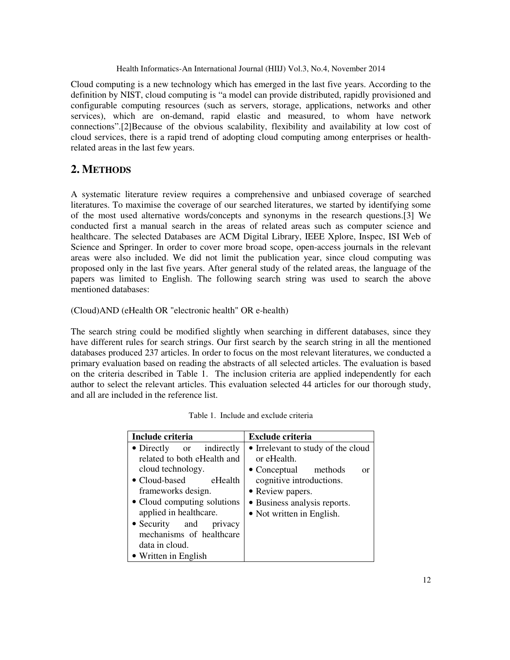Cloud computing is a new technology which has emerged in the last five years. According to the definition by NIST, cloud computing is "a model can provide distributed, rapidly provisioned and configurable computing resources (such as servers, storage, applications, networks and other services), which are on-demand, rapid elastic and measured, to whom have network connections".[2]Because of the obvious scalability, flexibility and availability at low cost of cloud services, there is a rapid trend of adopting cloud computing among enterprises or healthrelated areas in the last few years.

# **2. METHODS**

A systematic literature review requires a comprehensive and unbiased coverage of searched literatures. To maximise the coverage of our searched literatures, we started by identifying some of the most used alternative words/concepts and synonyms in the research questions.[3] We conducted first a manual search in the areas of related areas such as computer science and healthcare. The selected Databases are ACM Digital Library, IEEE Xplore, Inspec, ISI Web of Science and Springer. In order to cover more broad scope, open-access journals in the relevant areas were also included. We did not limit the publication year, since cloud computing was proposed only in the last five years. After general study of the related areas, the language of the papers was limited to English. The following search string was used to search the above mentioned databases:

(Cloud)AND (eHealth OR "electronic health" OR e-health)

The search string could be modified slightly when searching in different databases, since they have different rules for search strings. Our first search by the search string in all the mentioned databases produced 237 articles. In order to focus on the most relevant literatures, we conducted a primary evaluation based on reading the abstracts of all selected articles. The evaluation is based on the criteria described in Table 1. The inclusion criteria are applied independently for each author to select the relevant articles. This evaluation selected 44 articles for our thorough study, and all are included in the reference list.

| Include criteria                                                                                                                                                                                                                                                                                   | Exclude criteria                                                                                                                                                                             |
|----------------------------------------------------------------------------------------------------------------------------------------------------------------------------------------------------------------------------------------------------------------------------------------------------|----------------------------------------------------------------------------------------------------------------------------------------------------------------------------------------------|
| • Directly or indirectly<br>related to both eHealth and<br>cloud technology.<br>$\bullet$ Cloud-based<br>eHealth<br>frameworks design.<br>• Cloud computing solutions<br>applied in healthcare.<br>• Security and<br>privacy<br>mechanisms of healthcare<br>data in cloud.<br>• Written in English | • Irrelevant to study of the cloud<br>or eHealth.<br>• Conceptual methods<br>or<br>cognitive introductions.<br>• Review papers.<br>• Business analysis reports.<br>• Not written in English. |

Table 1. Include and exclude criteria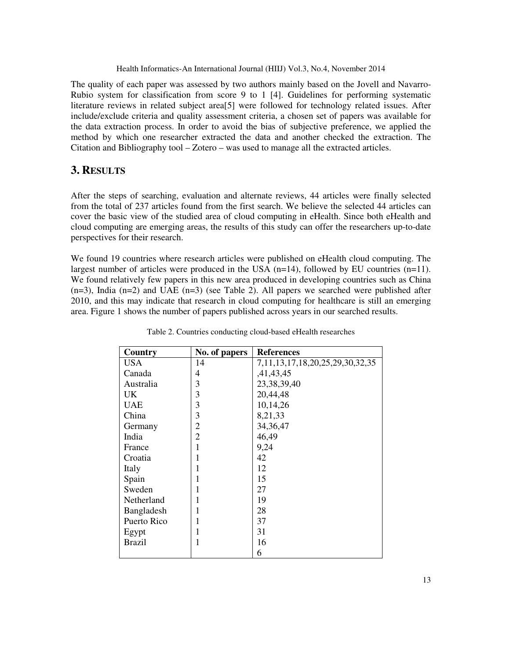The quality of each paper was assessed by two authors mainly based on the Jovell and Navarro-Rubio system for classification from score 9 to 1 [4]. Guidelines for performing systematic literature reviews in related subject area[5] were followed for technology related issues. After include/exclude criteria and quality assessment criteria, a chosen set of papers was available for the data extraction process. In order to avoid the bias of subjective preference, we applied the method by which one researcher extracted the data and another checked the extraction. The Citation and Bibliography tool – Zotero – was used to manage all the extracted articles.

# **3. RESULTS**

After the steps of searching, evaluation and alternate reviews, 44 articles were finally selected from the total of 237 articles found from the first search. We believe the selected 44 articles can cover the basic view of the studied area of cloud computing in eHealth. Since both eHealth and cloud computing are emerging areas, the results of this study can offer the researchers up-to-date perspectives for their research.

We found 19 countries where research articles were published on eHealth cloud computing. The largest number of articles were produced in the USA  $(n=14)$ , followed by EU countries  $(n=11)$ . We found relatively few papers in this new area produced in developing countries such as China  $(n=3)$ , India  $(n=2)$  and UAE  $(n=3)$  (see Table 2). All papers we searched were published after 2010, and this may indicate that research in cloud computing for healthcare is still an emerging area. Figure 1 shows the number of papers published across years in our searched results.

| Country       | No. of papers  | <b>References</b>                         |
|---------------|----------------|-------------------------------------------|
| USA           | 14             | 7, 11, 13, 17, 18, 20, 25, 29, 30, 32, 35 |
| Canada        | 4              | ,41,43,45                                 |
| Australia     | 3              | 23, 38, 39, 40                            |
| UK            | 3              | 20,44,48                                  |
| <b>UAE</b>    | 3              | 10,14,26                                  |
| China         | 3              | 8,21,33                                   |
| Germany       | $\overline{2}$ | 34, 36, 47                                |
| India         | $\overline{2}$ | 46,49                                     |
| France        |                | 9,24                                      |
| Croatia       | 1              | 42                                        |
| Italy         |                | 12                                        |
| Spain         |                | 15                                        |
| Sweden        |                | 27                                        |
| Netherland    |                | 19                                        |
| Bangladesh    | 1              | 28                                        |
| Puerto Rico   |                | 37                                        |
| Egypt         | 1              | 31                                        |
| <b>Brazil</b> | 1              | 16                                        |
|               |                | 6                                         |

Table 2. Countries conducting cloud-based eHealth researches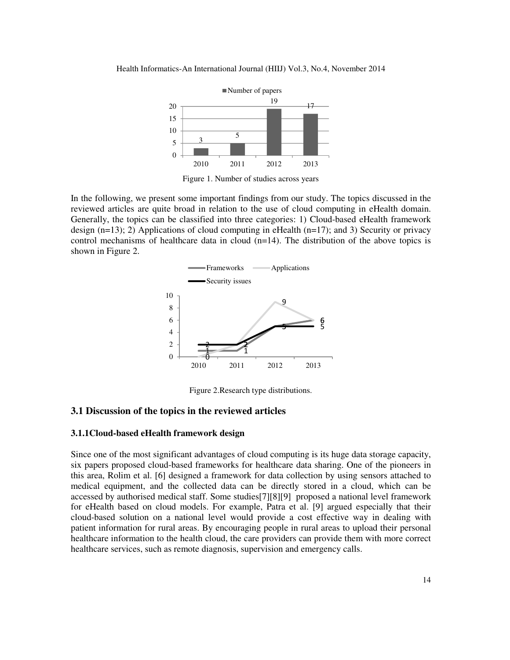

Health Informatics-An International Journal (HIIJ) Vol.3, No.4, November 2014



In the following, we present some important findings from our study. The topics discussed in the reviewed articles are quite broad in relation to the use of cloud computing in eHealth domain. Generally, the topics can be classified into three categories: 1) Cloud-based eHealth framework design  $(n=13)$ ; 2) Applications of cloud computing in eHealth  $(n=17)$ ; and 3) Security or privacy control mechanisms of healthcare data in cloud  $(n=14)$ . The distribution of the above topics is shown in Figure 2.



Figure 2.Research type distributions.

#### **3.1 Discussion of the topics in the reviewed articles**

#### **3.1.1Cloud-based eHealth framework design**

Since one of the most significant advantages of cloud computing is its huge data storage capacity, six papers proposed cloud-based frameworks for healthcare data sharing. One of the pioneers in this area, Rolim et al. [6] designed a framework for data collection by using sensors attached to medical equipment, and the collected data can be directly stored in a cloud, which can be accessed by authorised medical staff. Some studies[7][8][9] proposed a national level framework for eHealth based on cloud models. For example, Patra et al. [9] argued especially that their cloud-based solution on a national level would provide a cost effective way in dealing with patient information for rural areas. By encouraging people in rural areas to upload their personal healthcare information to the health cloud, the care providers can provide them with more correct healthcare services, such as remote diagnosis, supervision and emergency calls.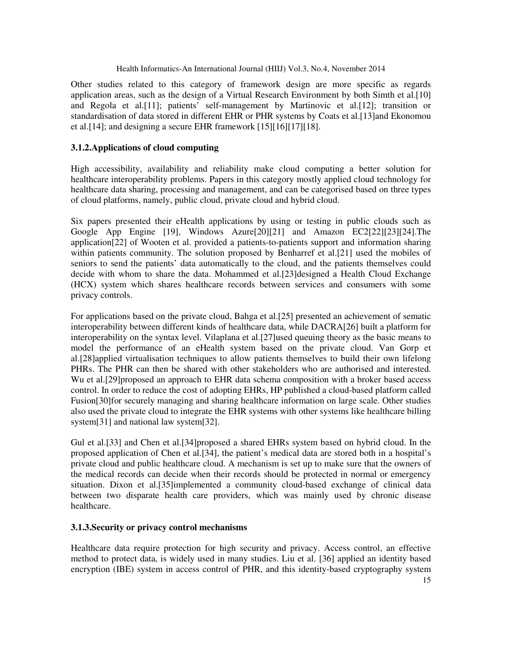Other studies related to this category of framework design are more specific as regards application areas, such as the design of a Virtual Research Environment by both Simth et al.[10] and Regola et al.[11]; patients' self-management by Martinovic et al.[12]; transition or standardisation of data stored in different EHR or PHR systems by Coats et al.[13]and Ekonomou et al.[14]; and designing a secure EHR framework [15][16][17][18].

#### **3.1.2.Applications of cloud computing**

High accessibility, availability and reliability make cloud computing a better solution for healthcare interoperability problems. Papers in this category mostly applied cloud technology for healthcare data sharing, processing and management, and can be categorised based on three types of cloud platforms, namely, public cloud, private cloud and hybrid cloud.

Six papers presented their eHealth applications by using or testing in public clouds such as Google App Engine [19], Windows Azure[20][21] and Amazon EC2[22][23][24].The application[22] of Wooten et al. provided a patients-to-patients support and information sharing within patients community. The solution proposed by Benharref et al.[21] used the mobiles of seniors to send the patients' data automatically to the cloud, and the patients themselves could decide with whom to share the data. Mohammed et al.[23]designed a Health Cloud Exchange (HCX) system which shares healthcare records between services and consumers with some privacy controls.

For applications based on the private cloud, Bahga et al.[25] presented an achievement of sematic interoperability between different kinds of healthcare data, while DACRA[26] built a platform for interoperability on the syntax level. Vilaplana et al.[27]used queuing theory as the basic means to model the performance of an eHealth system based on the private cloud. Van Gorp et al.[28]applied virtualisation techniques to allow patients themselves to build their own lifelong PHRs. The PHR can then be shared with other stakeholders who are authorised and interested. Wu et al.[29]proposed an approach to EHR data schema composition with a broker based access control. In order to reduce the cost of adopting EHRs, HP published a cloud-based platform called Fusion[30]for securely managing and sharing healthcare information on large scale. Other studies also used the private cloud to integrate the EHR systems with other systems like healthcare billing system[31] and national law system[32].

Gul et al.[33] and Chen et al.[34]proposed a shared EHRs system based on hybrid cloud. In the proposed application of Chen et al.[34], the patient's medical data are stored both in a hospital's private cloud and public healthcare cloud. A mechanism is set up to make sure that the owners of the medical records can decide when their records should be protected in normal or emergency situation. Dixon et al.[35]implemented a community cloud-based exchange of clinical data between two disparate health care providers, which was mainly used by chronic disease healthcare.

#### **3.1.3.Security or privacy control mechanisms**

Healthcare data require protection for high security and privacy. Access control, an effective method to protect data, is widely used in many studies. Liu et al. [36] applied an identity based encryption (IBE) system in access control of PHR, and this identity-based cryptography system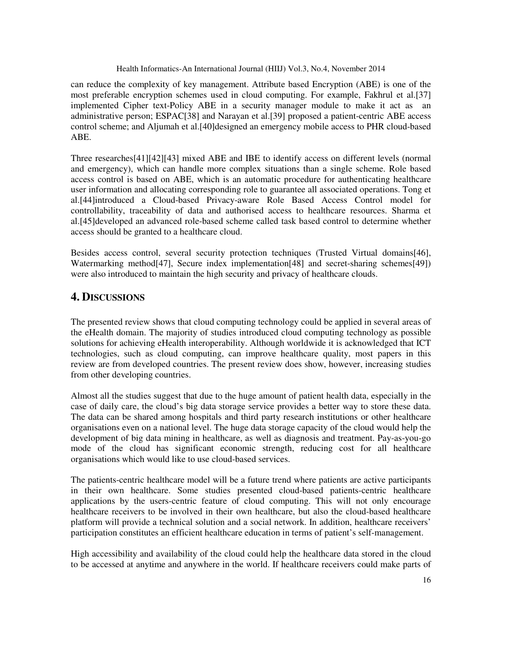can reduce the complexity of key management. Attribute based Encryption (ABE) is one of the most preferable encryption schemes used in cloud computing. For example, Fakhrul et al.[37] implemented Cipher text-Policy ABE in a security manager module to make it act as an administrative person; ESPAC[38] and Narayan et al.[39] proposed a patient-centric ABE access control scheme; and Aljumah et al.[40]designed an emergency mobile access to PHR cloud-based ABE.

Three researches[41][42][43] mixed ABE and IBE to identify access on different levels (normal and emergency), which can handle more complex situations than a single scheme. Role based access control is based on ABE, which is an automatic procedure for authenticating healthcare user information and allocating corresponding role to guarantee all associated operations. Tong et al.[44]introduced a Cloud-based Privacy-aware Role Based Access Control model for controllability, traceability of data and authorised access to healthcare resources. Sharma et al.[45]developed an advanced role-based scheme called task based control to determine whether access should be granted to a healthcare cloud.

Besides access control, several security protection techniques (Trusted Virtual domains[46], Watermarking method<sup>[47]</sup>, Secure index implementation<sup>[48]</sup> and secret-sharing schemes<sup>[49]</sup>) were also introduced to maintain the high security and privacy of healthcare clouds.

# **4. DISCUSSIONS**

The presented review shows that cloud computing technology could be applied in several areas of the eHealth domain. The majority of studies introduced cloud computing technology as possible solutions for achieving eHealth interoperability. Although worldwide it is acknowledged that ICT technologies, such as cloud computing, can improve healthcare quality, most papers in this review are from developed countries. The present review does show, however, increasing studies from other developing countries.

Almost all the studies suggest that due to the huge amount of patient health data, especially in the case of daily care, the cloud's big data storage service provides a better way to store these data. The data can be shared among hospitals and third party research institutions or other healthcare organisations even on a national level. The huge data storage capacity of the cloud would help the development of big data mining in healthcare, as well as diagnosis and treatment. Pay-as-you-go mode of the cloud has significant economic strength, reducing cost for all healthcare organisations which would like to use cloud-based services.

The patients-centric healthcare model will be a future trend where patients are active participants in their own healthcare. Some studies presented cloud-based patients-centric healthcare applications by the users-centric feature of cloud computing. This will not only encourage healthcare receivers to be involved in their own healthcare, but also the cloud-based healthcare platform will provide a technical solution and a social network. In addition, healthcare receivers' participation constitutes an efficient healthcare education in terms of patient's self-management.

High accessibility and availability of the cloud could help the healthcare data stored in the cloud to be accessed at anytime and anywhere in the world. If healthcare receivers could make parts of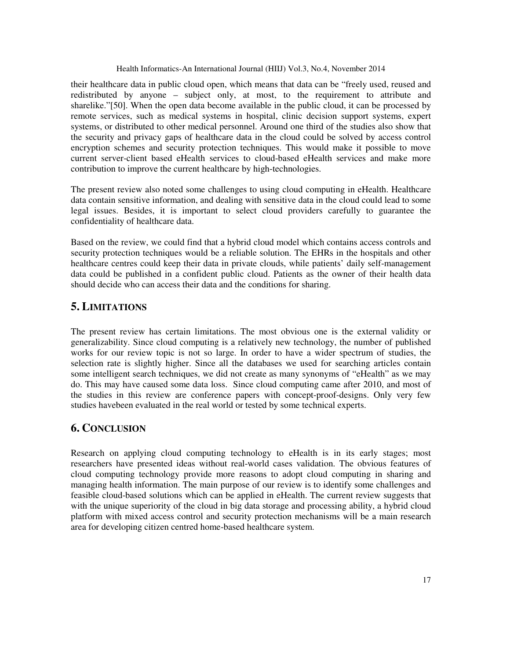their healthcare data in public cloud open, which means that data can be "freely used, reused and redistributed by anyone – subject only, at most, to the requirement to attribute and sharelike."[50]. When the open data become available in the public cloud, it can be processed by remote services, such as medical systems in hospital, clinic decision support systems, expert systems, or distributed to other medical personnel. Around one third of the studies also show that the security and privacy gaps of healthcare data in the cloud could be solved by access control encryption schemes and security protection techniques. This would make it possible to move current server-client based eHealth services to cloud-based eHealth services and make more contribution to improve the current healthcare by high-technologies.

The present review also noted some challenges to using cloud computing in eHealth. Healthcare data contain sensitive information, and dealing with sensitive data in the cloud could lead to some legal issues. Besides, it is important to select cloud providers carefully to guarantee the confidentiality of healthcare data.

Based on the review, we could find that a hybrid cloud model which contains access controls and security protection techniques would be a reliable solution. The EHRs in the hospitals and other healthcare centres could keep their data in private clouds, while patients' daily self-management data could be published in a confident public cloud. Patients as the owner of their health data should decide who can access their data and the conditions for sharing.

# **5. LIMITATIONS**

The present review has certain limitations. The most obvious one is the external validity or generalizability. Since cloud computing is a relatively new technology, the number of published works for our review topic is not so large. In order to have a wider spectrum of studies, the selection rate is slightly higher. Since all the databases we used for searching articles contain some intelligent search techniques, we did not create as many synonyms of "eHealth" as we may do. This may have caused some data loss. Since cloud computing came after 2010, and most of the studies in this review are conference papers with concept-proof-designs. Only very few studies havebeen evaluated in the real world or tested by some technical experts.

# **6. CONCLUSION**

Research on applying cloud computing technology to eHealth is in its early stages; most researchers have presented ideas without real-world cases validation. The obvious features of cloud computing technology provide more reasons to adopt cloud computing in sharing and managing health information. The main purpose of our review is to identify some challenges and feasible cloud-based solutions which can be applied in eHealth. The current review suggests that with the unique superiority of the cloud in big data storage and processing ability, a hybrid cloud platform with mixed access control and security protection mechanisms will be a main research area for developing citizen centred home-based healthcare system.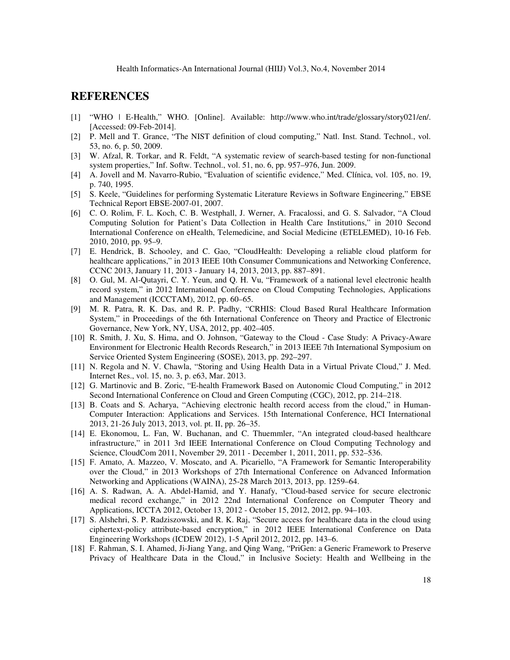## **REFERENCES**

- [1] "WHO | E-Health," WHO. [Online]. Available: http://www.who.int/trade/glossary/story021/en/. [Accessed: 09-Feb-2014].
- [2] P. Mell and T. Grance, "The NIST definition of cloud computing," Natl. Inst. Stand. Technol., vol. 53, no. 6, p. 50, 2009.
- [3] W. Afzal, R. Torkar, and R. Feldt, "A systematic review of search-based testing for non-functional system properties," Inf. Softw. Technol., vol. 51, no. 6, pp. 957–976, Jun. 2009.
- [4] A. Jovell and M. Navarro-Rubio, "Evaluation of scientific evidence," Med. Clínica, vol. 105, no. 19, p. 740, 1995.
- [5] S. Keele, "Guidelines for performing Systematic Literature Reviews in Software Engineering," EBSE Technical Report EBSE-2007-01, 2007.
- [6] C. O. Rolim, F. L. Koch, C. B. Westphall, J. Werner, A. Fracalossi, and G. S. Salvador, "A Cloud Computing Solution for Patient's Data Collection in Health Care Institutions," in 2010 Second International Conference on eHealth, Telemedicine, and Social Medicine (ETELEMED), 10-16 Feb. 2010, 2010, pp. 95–9.
- [7] E. Hendrick, B. Schooley, and C. Gao, "CloudHealth: Developing a reliable cloud platform for healthcare applications," in 2013 IEEE 10th Consumer Communications and Networking Conference, CCNC 2013, January 11, 2013 - January 14, 2013, 2013, pp. 887–891.
- [8] O. Gul, M. Al-Qutayri, C. Y. Yeun, and Q. H. Vu, "Framework of a national level electronic health record system," in 2012 International Conference on Cloud Computing Technologies, Applications and Management (ICCCTAM), 2012, pp. 60–65.
- [9] M. R. Patra, R. K. Das, and R. P. Padhy, "CRHIS: Cloud Based Rural Healthcare Information System," in Proceedings of the 6th International Conference on Theory and Practice of Electronic Governance, New York, NY, USA, 2012, pp. 402–405.
- [10] R. Smith, J. Xu, S. Hima, and O. Johnson, "Gateway to the Cloud Case Study: A Privacy-Aware Environment for Electronic Health Records Research," in 2013 IEEE 7th International Symposium on Service Oriented System Engineering (SOSE), 2013, pp. 292–297.
- [11] N. Regola and N. V. Chawla, "Storing and Using Health Data in a Virtual Private Cloud," J. Med. Internet Res., vol. 15, no. 3, p. e63, Mar. 2013.
- [12] G. Martinovic and B. Zoric, "E-health Framework Based on Autonomic Cloud Computing," in 2012 Second International Conference on Cloud and Green Computing (CGC), 2012, pp. 214–218.
- [13] B. Coats and S. Acharya, "Achieving electronic health record access from the cloud," in Human-Computer Interaction: Applications and Services. 15th International Conference, HCI International 2013, 21-26 July 2013, 2013, vol. pt. II, pp. 26–35.
- [14] E. Ekonomou, L. Fan, W. Buchanan, and C. Thuemmler, "An integrated cloud-based healthcare infrastructure," in 2011 3rd IEEE International Conference on Cloud Computing Technology and Science, CloudCom 2011, November 29, 2011 - December 1, 2011, 2011, pp. 532–536.
- [15] F. Amato, A. Mazzeo, V. Moscato, and A. Picariello, "A Framework for Semantic Interoperability over the Cloud," in 2013 Workshops of 27th International Conference on Advanced Information Networking and Applications (WAINA), 25-28 March 2013, 2013, pp. 1259–64.
- [16] A. S. Radwan, A. A. Abdel-Hamid, and Y. Hanafy, "Cloud-based service for secure electronic medical record exchange," in 2012 22nd International Conference on Computer Theory and Applications, ICCTA 2012, October 13, 2012 - October 15, 2012, 2012, pp. 94–103.
- [17] S. Alshehri, S. P. Radziszowski, and R. K. Raj, "Secure access for healthcare data in the cloud using ciphertext-policy attribute-based encryption," in 2012 IEEE International Conference on Data Engineering Workshops (ICDEW 2012), 1-5 April 2012, 2012, pp. 143–6.
- [18] F. Rahman, S. I. Ahamed, Ji-Jiang Yang, and Qing Wang, "PriGen: a Generic Framework to Preserve Privacy of Healthcare Data in the Cloud," in Inclusive Society: Health and Wellbeing in the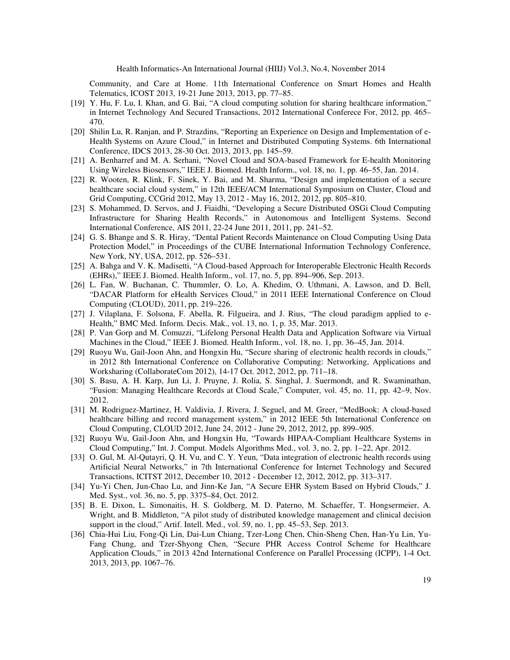Community, and Care at Home. 11th International Conference on Smart Homes and Health Telematics, ICOST 2013, 19-21 June 2013, 2013, pp. 77–85.

- [19] Y. Hu, F. Lu, I. Khan, and G. Bai, "A cloud computing solution for sharing healthcare information," in Internet Technology And Secured Transactions, 2012 International Conferece For, 2012, pp. 465– 470.
- [20] Shilin Lu, R. Ranjan, and P. Strazdins, "Reporting an Experience on Design and Implementation of e-Health Systems on Azure Cloud," in Internet and Distributed Computing Systems. 6th International Conference, IDCS 2013, 28-30 Oct. 2013, 2013, pp. 145–59.
- [21] A. Benharref and M. A. Serhani, "Novel Cloud and SOA-based Framework for E-health Monitoring Using Wireless Biosensors," IEEE J. Biomed. Health Inform., vol. 18, no. 1, pp. 46–55, Jan. 2014.
- [22] R. Wooten, R. Klink, F. Sinek, Y. Bai, and M. Sharma, "Design and implementation of a secure healthcare social cloud system," in 12th IEEE/ACM International Symposium on Cluster, Cloud and Grid Computing, CCGrid 2012, May 13, 2012 - May 16, 2012, 2012, pp. 805–810.
- [23] S. Mohammed, D. Servos, and J. Fiaidhi, "Developing a Secure Distributed OSGi Cloud Computing Infrastructure for Sharing Health Records," in Autonomous and Intelligent Systems. Second International Conference, AIS 2011, 22-24 June 2011, 2011, pp. 241–52.
- [24] G. S. Bhange and S. R. Hiray, "Dental Patient Records Maintenance on Cloud Computing Using Data Protection Model," in Proceedings of the CUBE International Information Technology Conference, New York, NY, USA, 2012, pp. 526–531.
- [25] A. Bahga and V. K. Madisetti, "A Cloud-based Approach for Interoperable Electronic Health Records (EHRs)," IEEE J. Biomed. Health Inform., vol. 17, no. 5, pp. 894–906, Sep. 2013.
- [26] L. Fan, W. Buchanan, C. Thummler, O. Lo, A. Khedim, O. Uthmani, A. Lawson, and D. Bell, "DACAR Platform for eHealth Services Cloud," in 2011 IEEE International Conference on Cloud Computing (CLOUD), 2011, pp. 219–226.
- [27] J. Vilaplana, F. Solsona, F. Abella, R. Filgueira, and J. Rius, "The cloud paradigm applied to e-Health," BMC Med. Inform. Decis. Mak., vol. 13, no. 1, p. 35, Mar. 2013.
- [28] P. Van Gorp and M. Comuzzi, "Lifelong Personal Health Data and Application Software via Virtual Machines in the Cloud," IEEE J. Biomed. Health Inform., vol. 18, no. 1, pp. 36–45, Jan. 2014.
- [29] Ruoyu Wu, Gail-Joon Ahn, and Hongxin Hu, "Secure sharing of electronic health records in clouds," in 2012 8th International Conference on Collaborative Computing: Networking, Applications and Worksharing (CollaborateCom 2012), 14-17 Oct. 2012, 2012, pp. 711–18.
- [30] S. Basu, A. H. Karp, Jun Li, J. Pruyne, J. Rolia, S. Singhal, J. Suermondt, and R. Swaminathan, "Fusion: Managing Healthcare Records at Cloud Scale," Computer, vol. 45, no. 11, pp. 42–9, Nov. 2012.
- [31] M. Rodriguez-Martinez, H. Valdivia, J. Rivera, J. Seguel, and M. Greer, "MedBook: A cloud-based healthcare billing and record management system," in 2012 IEEE 5th International Conference on Cloud Computing, CLOUD 2012, June 24, 2012 - June 29, 2012, 2012, pp. 899–905.
- [32] Ruoyu Wu, Gail-Joon Ahn, and Hongxin Hu, "Towards HIPAA-Compliant Healthcare Systems in Cloud Computing," Int. J. Comput. Models Algorithms Med., vol. 3, no. 2, pp. 1–22, Apr. 2012.
- [33] O. Gul, M. Al-Qutayri, Q. H. Vu, and C. Y. Yeun, "Data integration of electronic health records using Artificial Neural Networks," in 7th International Conference for Internet Technology and Secured Transactions, ICITST 2012, December 10, 2012 - December 12, 2012, 2012, pp. 313–317.
- [34] Yu-Yi Chen, Jun-Chao Lu, and Jinn-Ke Jan, "A Secure EHR System Based on Hybrid Clouds," J. Med. Syst., vol. 36, no. 5, pp. 3375–84, Oct. 2012.
- [35] B. E. Dixon, L. Simonaitis, H. S. Goldberg, M. D. Paterno, M. Schaeffer, T. Hongsermeier, A. Wright, and B. Middleton, "A pilot study of distributed knowledge management and clinical decision support in the cloud," Artif. Intell. Med., vol. 59, no. 1, pp. 45–53, Sep. 2013.
- [36] Chia-Hui Liu, Fong-Qi Lin, Dai-Lun Chiang, Tzer-Long Chen, Chin-Sheng Chen, Han-Yu Lin, Yu-Fang Chung, and Tzer-Shyong Chen, "Secure PHR Access Control Scheme for Healthcare Application Clouds," in 2013 42nd International Conference on Parallel Processing (ICPP), 1-4 Oct. 2013, 2013, pp. 1067–76.